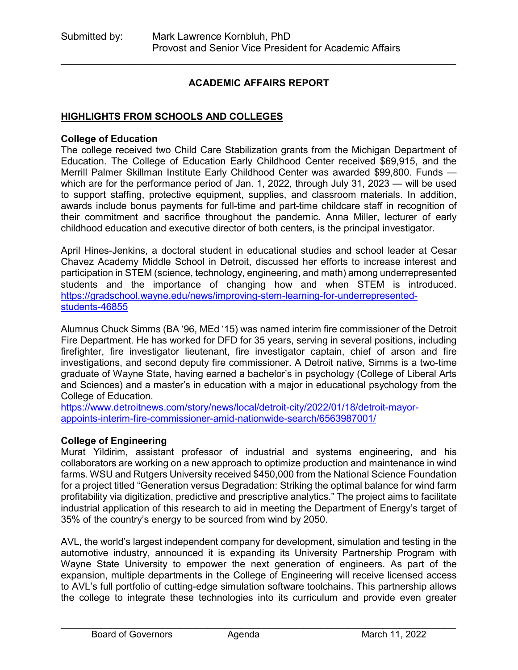#### **ACADEMIC AFFAIRS REPORT**

\_\_\_\_\_\_\_\_\_\_\_\_\_\_\_\_\_\_\_\_\_\_\_\_\_\_\_\_\_\_\_\_\_\_\_\_\_\_\_\_\_\_\_\_\_\_\_\_\_\_\_\_\_\_\_\_\_\_\_\_\_\_\_\_\_\_\_\_\_\_

#### **HIGHLIGHTS FROM SCHOOLS AND COLLEGES**

#### **College of Education**

The college received two Child Care Stabilization grants from the Michigan Department of Education. The College of Education Early Childhood Center received \$69,915, and the Merrill Palmer Skillman Institute Early Childhood Center was awarded \$99,800. Funds which are for the performance period of Jan. 1, 2022, through July 31, 2023 — will be used to support staffing, protective equipment, supplies, and classroom materials. In addition, awards include bonus payments for full-time and part-time childcare staff in recognition of their commitment and sacrifice throughout the pandemic. Anna Miller, lecturer of early childhood education and executive director of both centers, is the principal investigator.

April Hines-Jenkins, a doctoral student in educational studies and school leader at Cesar Chavez Academy Middle School in Detroit, discussed her efforts to increase interest and participation in STEM (science, technology, engineering, and math) among underrepresented students and the importance of changing how and when STEM is introduced. [https://gradschool.wayne.edu/news/improving-stem-learning-for-underrepresented](https://gradschool.wayne.edu/news/improving-stem-learning-for-underrepresented-students-46855)[students-46855](https://gradschool.wayne.edu/news/improving-stem-learning-for-underrepresented-students-46855)

Alumnus Chuck Simms (BA '96, MEd '15) was named interim fire commissioner of the Detroit Fire Department. He has worked for DFD for 35 years, serving in several positions, including firefighter, fire investigator lieutenant, fire investigator captain, chief of arson and fire investigations, and second deputy fire commissioner. A Detroit native, Simms is a two-time graduate of Wayne State, having earned a bachelor's in psychology (College of Liberal Arts and Sciences) and a master's in education with a major in educational psychology from the College of Education.

[https://www.detroitnews.com/story/news/local/detroit-city/2022/01/18/detroit-mayor](https://www.detroitnews.com/story/news/local/detroit-city/2022/01/18/detroit-mayor-appoints-interim-fire-commissioner-amid-nationwide-search/6563987001/)[appoints-interim-fire-commissioner-amid-nationwide-search/6563987001/](https://www.detroitnews.com/story/news/local/detroit-city/2022/01/18/detroit-mayor-appoints-interim-fire-commissioner-amid-nationwide-search/6563987001/) 

#### **College of Engineering**

Murat Yildirim, assistant professor of industrial and systems engineering, and his collaborators are working on a new approach to optimize production and maintenance in wind farms. WSU and Rutgers University received \$450,000 from the National Science Foundation for a project titled "Generation versus Degradation: Striking the optimal balance for wind farm profitability via digitization, predictive and prescriptive analytics." The project aims to facilitate industrial application of this research to aid in meeting the Department of Energy's target of 35% of the country's energy to be sourced from wind by 2050.

AVL, the world's largest independent company for development, simulation and testing in the automotive industry, announced it is expanding its University Partnership Program with Wayne State University to empower the next generation of engineers. As part of the expansion, multiple departments in the College of Engineering will receive licensed access to AVL's full portfolio of cutting-edge simulation software toolchains. This partnership allows the college to integrate these technologies into its curriculum and provide even greater

\_\_\_\_\_\_\_\_\_\_\_\_\_\_\_\_\_\_\_\_\_\_\_\_\_\_\_\_\_\_\_\_\_\_\_\_\_\_\_\_\_\_\_\_\_\_\_\_\_\_\_\_\_\_\_\_\_\_\_\_\_\_\_\_\_\_\_\_\_\_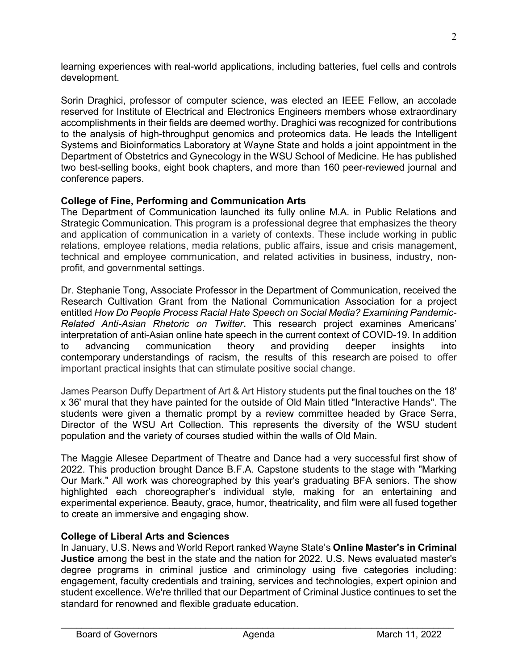learning experiences with real-world applications, including batteries, fuel cells and controls development.

Sorin Draghici, professor of computer science, was elected an IEEE Fellow, an accolade reserved for Institute of Electrical and Electronics Engineers members whose extraordinary accomplishments in their fields are deemed worthy. Draghici was recognized for contributions to the analysis of high-throughput genomics and proteomics data. He leads the Intelligent Systems and Bioinformatics Laboratory at Wayne State and holds a joint appointment in the Department of Obstetrics and Gynecology in the WSU School of Medicine. He has published two best-selling books, eight book chapters, and more than 160 peer-reviewed journal and conference papers.

## **College of Fine, Performing and Communication Arts**

The Department of Communication launched its fully online M.A. in Public Relations and Strategic Communication. This program is a professional degree that emphasizes the theory and application of communication in a variety of contexts. These include working in public relations, employee relations, media relations, public affairs, issue and crisis management, technical and employee communication, and related activities in business, industry, nonprofit, and governmental settings.

Dr. Stephanie Tong, Associate Professor in the Department of Communication, received the Research Cultivation Grant from the National Communication Association for a project entitled *How Do People Process Racial Hate Speech on Social Media? Examining Pandemic-Related Anti-Asian Rhetoric on Twitter***.** This research project examines Americans' interpretation of anti-Asian online hate speech in the current context of COVID-19. In addition to advancing communication theory and providing deeper insights into contemporary understandings of racism, the results of this research are poised to offer important practical insights that can stimulate positive social change.

James Pearson Duffy Department of Art & Art History students put the final touches on the 18' x 36' mural that they have painted for the outside of Old Main titled "Interactive Hands". The students were given a thematic prompt by a review committee headed by Grace Serra, Director of the WSU Art Collection. This represents the diversity of the WSU student population and the variety of courses studied within the walls of Old Main.

The Maggie Allesee Department of Theatre and Dance had a very successful first show of 2022. This production brought Dance B.F.A. Capstone students to the stage with "Marking Our Mark." All work was choreographed by this year's graduating BFA seniors. The show highlighted each choreographer's individual style, making for an entertaining and experimental experience. Beauty, grace, humor, theatricality, and film were all fused together to create an immersive and engaging show.

## **College of Liberal Arts and Sciences**

In January, U.S. News and World Report ranked Wayne State's **Online Master's in Criminal Justice** among the best in the state and the nation for 2022. U.S. News evaluated master's degree programs in criminal justice and criminology using five categories including: engagement, faculty credentials and training, services and technologies, expert opinion and student excellence. We're thrilled that our Department of Criminal Justice continues to set the standard for renowned and flexible graduate education.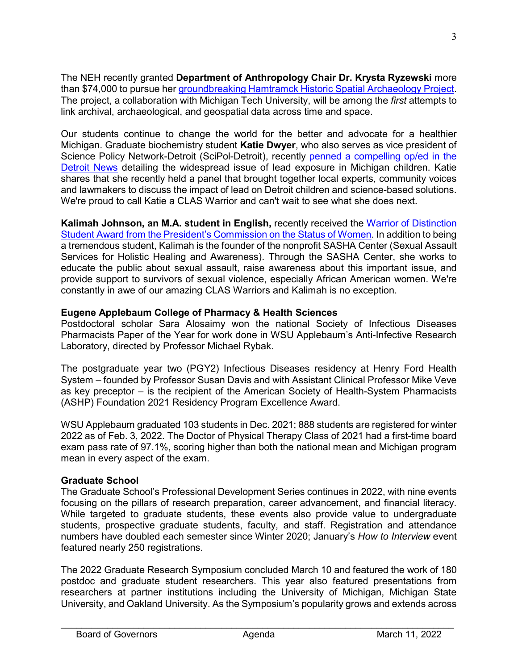The NEH recently granted **Department of Anthropology Chair Dr. Krysta Ryzewski** more than \$74,000 to pursue her [groundbreaking Hamtramck Historic Spatial Archaeology Project.](https://clas.wayne.edu/anthropology/news/wayne-states-hamtramck-historic-spatial-archaeology-project-receives-neh-funding-44119) The project, a collaboration with Michigan Tech University, will be among the *first* attempts to link archival, archaeological, and geospatial data across time and space.

Our students continue to change the world for the better and advocate for a healthier Michigan. Graduate biochemistry student **Katie Dwyer**, who also serves as vice president of Science Policy Network-Detroit (SciPol-Detroit), recently [penned a compelling op/ed in the](https://www.detroitnews.com/story/opinion/2022/01/06/opinion-lead-isnt-just-water-and-its-not-just-flint/9106337002/)  [Detroit News](https://www.detroitnews.com/story/opinion/2022/01/06/opinion-lead-isnt-just-water-and-its-not-just-flint/9106337002/) detailing the widespread issue of lead exposure in Michigan children. Katie shares that she recently held a panel that brought together local experts, community voices and lawmakers to discuss the impact of lead on Detroit children and science-based solutions. We're proud to call Katie a CLAS Warrior and can't wait to see what she does next.

**Kalimah Johnson, an M.A. student in English,** recently received the [Warrior of Distinction](https://clas.wayne.edu/news/masters-student-kalimah-johnson-receives-warrior-of-distinction-award-44099)  [Student Award from the President's Commission on the Status of Women.](https://clas.wayne.edu/news/masters-student-kalimah-johnson-receives-warrior-of-distinction-award-44099) In addition to being a tremendous student, Kalimah is the founder of the nonprofit SASHA Center (Sexual Assault Services for Holistic Healing and Awareness). Through the SASHA Center, she works to educate the public about sexual assault, raise awareness about this important issue, and provide support to survivors of sexual violence, especially African American women. We're constantly in awe of our amazing CLAS Warriors and Kalimah is no exception.

# **Eugene Applebaum College of Pharmacy & Health Sciences**

Postdoctoral scholar Sara Alosaimy won the national Society of Infectious Diseases Pharmacists Paper of the Year for work done in WSU Applebaum's Anti-Infective Research Laboratory, directed by Professor Michael Rybak.

The postgraduate year two (PGY2) Infectious Diseases residency at Henry Ford Health System – founded by Professor Susan Davis and with Assistant Clinical Professor Mike Veve as key preceptor – is the recipient of the American Society of Health-System Pharmacists (ASHP) Foundation 2021 Residency Program Excellence Award.

WSU Applebaum graduated 103 students in Dec. 2021; 888 students are registered for winter 2022 as of Feb. 3, 2022. The Doctor of Physical Therapy Class of 2021 had a first-time board exam pass rate of 97.1%, scoring higher than both the national mean and Michigan program mean in every aspect of the exam.

## **Graduate School**

The Graduate School's Professional Development Series continues in 2022, with nine events focusing on the pillars of research preparation, career advancement, and financial literacy. While targeted to graduate students, these events also provide value to undergraduate students, prospective graduate students, faculty, and staff. Registration and attendance numbers have doubled each semester since Winter 2020; January's *How to Interview* event featured nearly 250 registrations.

The 2022 Graduate Research Symposium concluded March 10 and featured the work of 180 postdoc and graduate student researchers. This year also featured presentations from researchers at partner institutions including the University of Michigan, Michigan State University, and Oakland University. As the Symposium's popularity grows and extends across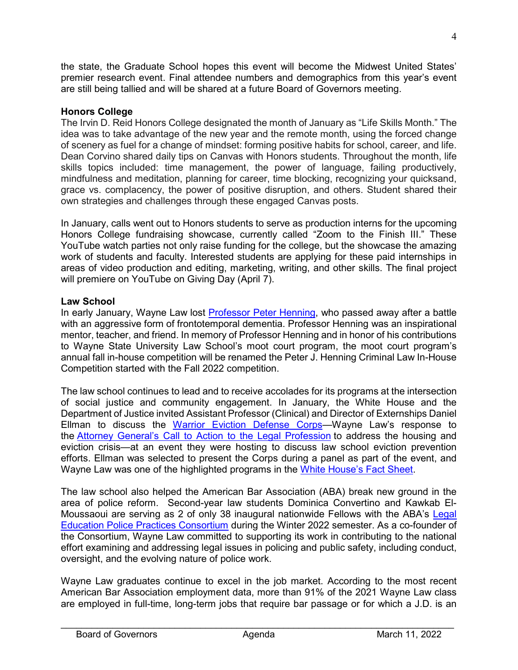the state, the Graduate School hopes this event will become the Midwest United States' premier research event. Final attendee numbers and demographics from this year's event are still being tallied and will be shared at a future Board of Governors meeting.

## **Honors College**

The Irvin D. Reid Honors College designated the month of January as "Life Skills Month." The idea was to take advantage of the new year and the remote month, using the forced change of scenery as fuel for a change of mindset: forming positive habits for school, career, and life. Dean Corvino shared daily tips on Canvas with Honors students. Throughout the month, life skills topics included: time management, the power of language, failing productively, mindfulness and meditation, planning for career, time blocking, recognizing your quicksand, grace vs. complacency, the power of positive disruption, and others. Student shared their own strategies and challenges through these engaged Canvas posts.

In January, calls went out to Honors students to serve as production interns for the upcoming Honors College fundraising showcase, currently called "Zoom to the Finish III." These YouTube watch parties not only raise funding for the college, but the showcase the amazing work of students and faculty. Interested students are applying for these paid internships in areas of video production and editing, marketing, writing, and other skills. The final project will premiere on YouTube on Giving Day (April 7).

#### **Law School**

In early January, Wayne Law lost [Professor Peter Henning,](https://law.wayne.edu/news/wayne-law-remembers-peter-henning-46826) who passed away after a battle with an aggressive form of frontotemporal dementia. Professor Henning was an inspirational mentor, teacher, and friend. In memory of Professor Henning and in honor of his contributions to Wayne State University Law School's moot court program, the moot court program's annual fall in-house competition will be renamed the Peter J. Henning Criminal Law In-House Competition started with the Fall 2022 competition.

The law school continues to lead and to receive accolades for its programs at the intersection of social justice and community engagement. In January, the White House and the Department of Justice invited Assistant Professor (Clinical) and Director of Externships Daniel Ellman to discuss the Warrior Eviction Defense Corps-Wayne Law's response to the [Attorney General's Call to Action to the Legal Profession](https://www.justice.gov/ag/page/file/1428626/download) to address the housing and eviction crisis—at an event they were hosting to discuss law school eviction prevention efforts. Ellman was selected to present the Corps during a panel as part of the event, and Wayne Law was one of the highlighted programs in the [White House's Fact Sheet.](https://www.whitehouse.gov/briefing-room/statements-releases/2022/01/28/fact-sheet-the-white-house-and-department-of-justice-announced-99-law-schools-in-35-states-and-puerto-rico-continue-to-answer-the-attorney-generals-call-to-action-for-stronger-access-to-just/)

The law school also helped the American Bar Association (ABA) break new ground in the area of police reform. Second-year law students Dominica Convertino and Kawkab El-Moussaoui are serving as 2 of only 38 inaugural nationwide Fellows with the ABA's [Legal](https://www.americanbar.org/groups/criminal_justice/police_practices/)  [Education Police Practices Consortium](https://www.americanbar.org/groups/criminal_justice/police_practices/) during the Winter 2022 semester. As a co-founder of the Consortium, Wayne Law committed to supporting its work in contributing to the national effort examining and addressing legal issues in policing and public safety, including conduct, oversight, and the evolving nature of police work.

Wayne Law graduates continue to excel in the job market. According to the most recent American Bar Association employment data, more than 91% of the 2021 Wayne Law class are employed in full-time, long-term jobs that require bar passage or for which a J.D. is an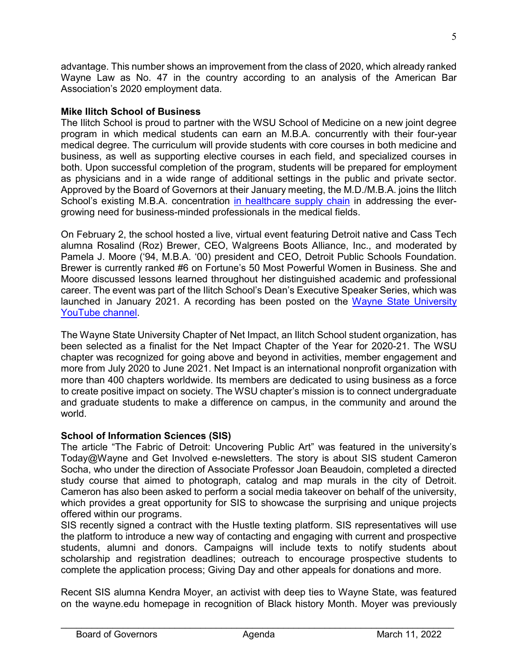advantage. This number shows an improvement from the class of 2020, which already ranked Wayne Law as No. 47 in the country according to an analysis of the American Bar Association's 2020 employment data.

#### **Mike Ilitch School of Business**

The Ilitch School is proud to partner with the WSU School of Medicine on a new joint degree program in which medical students can earn an M.B.A. concurrently with their four-year medical degree. The curriculum will provide students with core courses in both medicine and business, as well as supporting elective courses in each field, and specialized courses in both. Upon successful completion of the program, students will be prepared for employment as physicians and in a wide range of additional settings in the public and private sector. Approved by the Board of Governors at their January meeting, the M.D./M.B.A. joins the Ilitch School's existing M.B.A. concentration [in healthcare supply chain](https://ilitchbusiness.wayne.edu/news/ilitch-school-offers-new-healthcare-supply-chain-management-course-for-fall-2020-39705) in addressing the evergrowing need for business-minded professionals in the medical fields.

On February 2, the school hosted a live, virtual event featuring Detroit native and Cass Tech alumna Rosalind (Roz) Brewer, CEO, Walgreens Boots Alliance, Inc., and moderated by Pamela J. Moore ('94, M.B.A. '00) president and CEO, Detroit Public Schools Foundation. Brewer is currently ranked #6 on Fortune's 50 Most Powerful Women in Business. She and Moore discussed lessons learned throughout her distinguished academic and professional career. The event was part of the Ilitch School's Dean's Executive Speaker Series, which was launched in January 2021. A recording has been posted on the [Wayne State University](https://www.youtube.com/watch?v=2fhH8NbgjZc)  [YouTube channel.](https://www.youtube.com/watch?v=2fhH8NbgjZc)

The Wayne State University Chapter of Net Impact, an Ilitch School student organization, has been selected as a finalist for the Net Impact Chapter of the Year for 2020-21. The WSU chapter was recognized for going above and beyond in activities, member engagement and more from July 2020 to June 2021. Net Impact is an international nonprofit organization with more than 400 chapters worldwide. Its members are dedicated to using business as a force to create positive impact on society. The WSU chapter's mission is to connect undergraduate and graduate students to make a difference on campus, in the community and around the world.

## **School of Information Sciences (SIS)**

The article "The Fabric of Detroit: Uncovering Public Art" was featured in the university's Today@Wayne and Get Involved e-newsletters. The story is about SIS student Cameron Socha, who under the direction of Associate Professor Joan Beaudoin, completed a directed study course that aimed to photograph, catalog and map murals in the city of Detroit. Cameron has also been asked to perform a social media takeover on behalf of the university, which provides a great opportunity for SIS to showcase the surprising and unique projects offered within our programs.

SIS recently signed a contract with the Hustle texting platform. SIS representatives will use the platform to introduce a new way of contacting and engaging with current and prospective students, alumni and donors. Campaigns will include texts to notify students about scholarship and registration deadlines; outreach to encourage prospective students to complete the application process; Giving Day and other appeals for donations and more.

Recent SIS alumna Kendra Moyer, an activist with deep ties to Wayne State, was featured on the wayne.edu homepage in recognition of Black history Month. Moyer was previously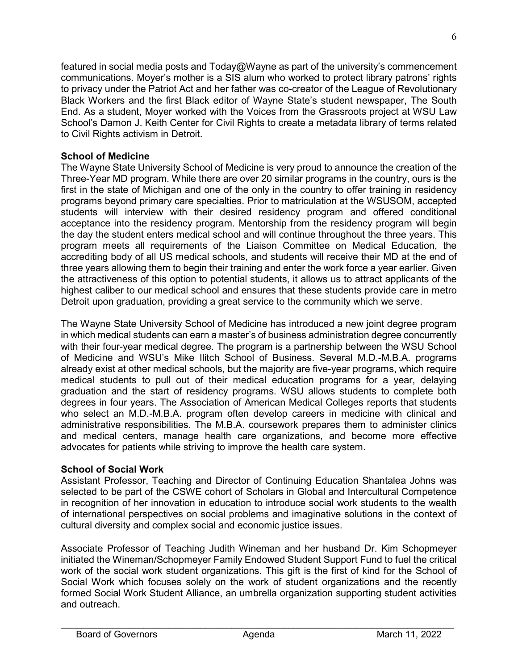featured in social media posts and Today@Wayne as part of the university's commencement communications. Moyer's mother is a SIS alum who worked to protect library patrons' rights to privacy under the Patriot Act and her father was co-creator of the League of Revolutionary Black Workers and the first Black editor of Wayne State's student newspaper, The South End. As a student, Moyer worked with the Voices from the Grassroots project at WSU Law School's Damon J. Keith Center for Civil Rights to create a metadata library of terms related to Civil Rights activism in Detroit.

## **School of Medicine**

The Wayne State University School of Medicine is very proud to announce the creation of the Three-Year MD program. While there are over 20 similar programs in the country, ours is the first in the state of Michigan and one of the only in the country to offer training in residency programs beyond primary care specialties. Prior to matriculation at the WSUSOM, accepted students will interview with their desired residency program and offered conditional acceptance into the residency program. Mentorship from the residency program will begin the day the student enters medical school and will continue throughout the three years. This program meets all requirements of the Liaison Committee on Medical Education, the accrediting body of all US medical schools, and students will receive their MD at the end of three years allowing them to begin their training and enter the work force a year earlier. Given the attractiveness of this option to potential students, it allows us to attract applicants of the highest caliber to our medical school and ensures that these students provide care in metro Detroit upon graduation, providing a great service to the community which we serve.

The Wayne State University School of Medicine has introduced a new joint degree program in which medical students can earn a master's of business administration degree concurrently with their four-year medical degree. The program is a partnership between the WSU School of Medicine and WSU's Mike Ilitch School of Business. Several M.D.-M.B.A. programs already exist at other medical schools, but the majority are five-year programs, which require medical students to pull out of their medical education programs for a year, delaying graduation and the start of residency programs. WSU allows students to complete both degrees in four years. The Association of American Medical Colleges reports that students who select an M.D.-M.B.A. program often develop careers in medicine with clinical and administrative responsibilities. The M.B.A. coursework prepares them to administer clinics and medical centers, manage health care organizations, and become more effective advocates for patients while striving to improve the health care system.

## **School of Social Work**

Assistant Professor, Teaching and Director of Continuing Education Shantalea Johns was selected to be part of the CSWE cohort of Scholars in Global and Intercultural Competence in recognition of her innovation in education to introduce social work students to the wealth of international perspectives on social problems and imaginative solutions in the context of cultural diversity and complex social and economic justice issues.

Associate Professor of Teaching Judith Wineman and her husband Dr. Kim Schopmeyer initiated the Wineman/Schopmeyer Family Endowed Student Support Fund to fuel the critical work of the social work student organizations. This gift is the first of kind for the School of Social Work which focuses solely on the work of student organizations and the recently formed Social Work Student Alliance, an umbrella organization supporting student activities and outreach.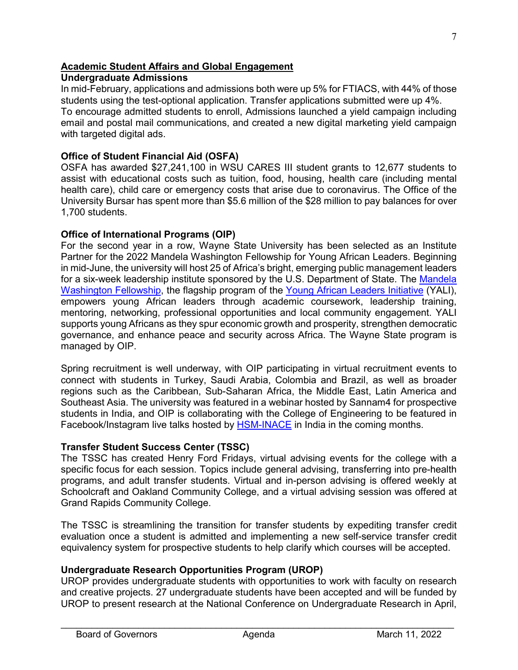# **Academic Student Affairs and Global Engagement**

## **Undergraduate Admissions**

In mid-February, applications and admissions both were up 5% for FTIACS, with 44% of those students using the test-optional application. Transfer applications submitted were up 4%. To encourage admitted students to enroll, Admissions launched a yield campaign including email and postal mail communications, and created a new digital marketing yield campaign with targeted digital ads.

## **Office of Student Financial Aid (OSFA)**

OSFA has awarded \$27,241,100 in WSU CARES III student grants to 12,677 students to assist with educational costs such as tuition, food, housing, health care (including mental health care), child care or emergency costs that arise due to coronavirus. The Office of the University Bursar has spent more than \$5.6 million of the \$28 million to pay balances for over 1,700 students.

# **Office of International Programs (OIP)**

For the second year in a row, Wayne State University has been selected as an Institute Partner for the 2022 Mandela Washington Fellowship for Young African Leaders. Beginning in mid-June, the university will host 25 of Africa's bright, emerging public management leaders for a six-week leadership institute sponsored by the U.S. Department of State. The [Mandela](http://www.mandelawashingtonfellowship.org/)  [Washington Fellowship,](http://www.mandelawashingtonfellowship.org/) the flagship program of the [Young African Leaders Initiative](https://yali.state.gov/) (YALI), empowers young African leaders through academic coursework, leadership training, mentoring, networking, professional opportunities and local community engagement. YALI supports young Africans as they spur economic growth and prosperity, strengthen democratic governance, and enhance peace and security across Africa. The Wayne State program is managed by OIP.

Spring recruitment is well underway, with OIP participating in virtual recruitment events to connect with students in Turkey, Saudi Arabia, Colombia and Brazil, as well as broader regions such as the Caribbean, Sub-Saharan Africa, the Middle East, Latin America and Southeast Asia. The university was featured in a webinar hosted by Sannam4 for prospective students in India, and OIP is collaborating with the College of Engineering to be featured in Facebook/Instagram live talks hosted by [HSM-INACE](https://www.inace.org/hsm-inace) in India in the coming months.

## **Transfer Student Success Center (TSSC)**

The TSSC has created Henry Ford Fridays, virtual advising events for the college with a specific focus for each session. Topics include general advising, transferring into pre-health programs, and adult transfer students. Virtual and in-person advising is offered weekly at Schoolcraft and Oakland Community College, and a virtual advising session was offered at Grand Rapids Community College.

The TSSC is streamlining the transition for transfer students by expediting transfer credit evaluation once a student is admitted and implementing a new self-service transfer credit equivalency system for prospective students to help clarify which courses will be accepted.

# **Undergraduate Research Opportunities Program (UROP)**

UROP provides undergraduate students with opportunities to work with faculty on research and creative projects. 27 undergraduate students have been accepted and will be funded by UROP to present research at the National Conference on Undergraduate Research in April,